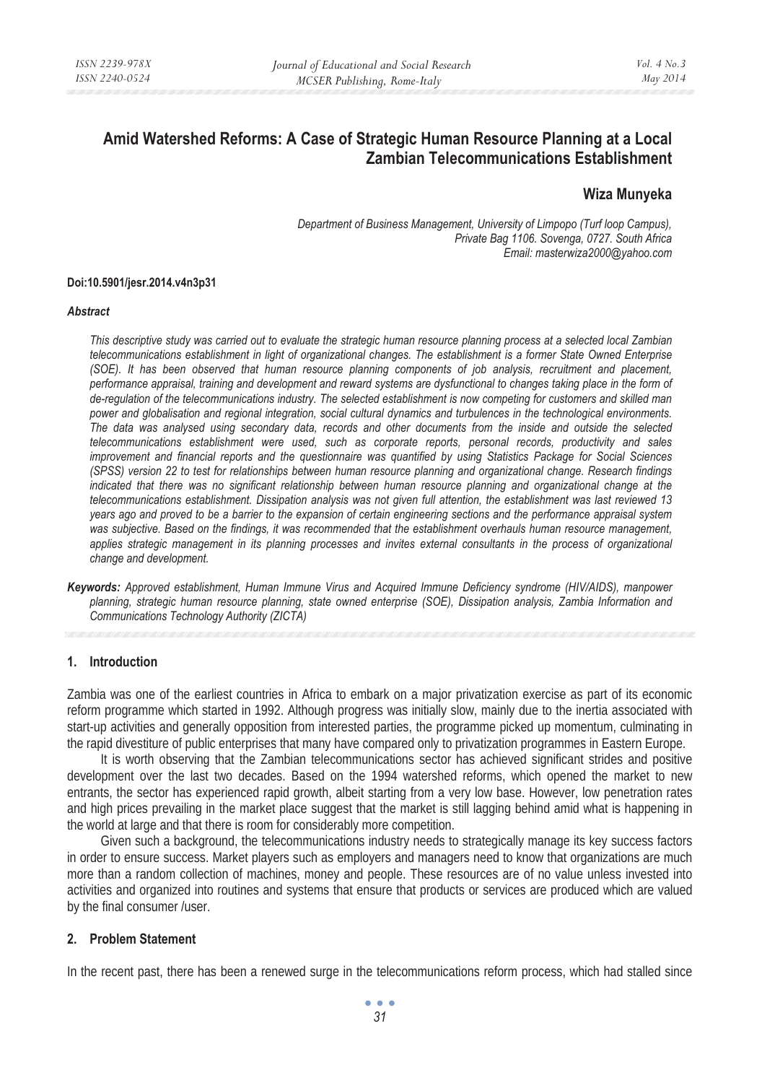# **Amid Watershed Reforms: A Case of Strategic Human Resource Planning at a Local Zambian Telecommunications Establishment**

## **Wiza Munyeka**

*Department of Business Management, University of Limpopo (Turf loop Campus), Private Bag 1106. Sovenga, 0727. South Africa Email: masterwiza2000@yahoo.com* 

#### **Doi:10.5901/jesr.2014.v4n3p31**

#### *Abstract*

*This descriptive study was carried out to evaluate the strategic human resource planning process at a selected local Zambian telecommunications establishment in light of organizational changes. The establishment is a former State Owned Enterprise (SOE). It has been observed that human resource planning components of job analysis, recruitment and placement, performance appraisal, training and development and reward systems are dysfunctional to changes taking place in the form of de-regulation of the telecommunications industry. The selected establishment is now competing for customers and skilled man power and globalisation and regional integration, social cultural dynamics and turbulences in the technological environments. The data was analysed using secondary data, records and other documents from the inside and outside the selected telecommunications establishment were used, such as corporate reports, personal records, productivity and sales improvement and financial reports and the questionnaire was quantified by using Statistics Package for Social Sciences (SPSS) version 22 to test for relationships between human resource planning and organizational change. Research findings indicated that there was no significant relationship between human resource planning and organizational change at the telecommunications establishment. Dissipation analysis was not given full attention, the establishment was last reviewed 13 years ago and proved to be a barrier to the expansion of certain engineering sections and the performance appraisal system was subjective. Based on the findings, it was recommended that the establishment overhauls human resource management,*  applies strategic management in its planning processes and invites external consultants in the process of organizational *change and development.* 

*Keywords: Approved establishment, Human Immune Virus and Acquired Immune Deficiency syndrome (HIV/AIDS), manpower planning, strategic human resource planning, state owned enterprise (SOE), Dissipation analysis, Zambia Information and Communications Technology Authority (ZICTA)* 

#### **1. Introduction**

Zambia was one of the earliest countries in Africa to embark on a major privatization exercise as part of its economic reform programme which started in 1992. Although progress was initially slow, mainly due to the inertia associated with start-up activities and generally opposition from interested parties, the programme picked up momentum, culminating in the rapid divestiture of public enterprises that many have compared only to privatization programmes in Eastern Europe.

It is worth observing that the Zambian telecommunications sector has achieved significant strides and positive development over the last two decades. Based on the 1994 watershed reforms, which opened the market to new entrants, the sector has experienced rapid growth, albeit starting from a very low base. However, low penetration rates and high prices prevailing in the market place suggest that the market is still lagging behind amid what is happening in the world at large and that there is room for considerably more competition.

Given such a background, the telecommunications industry needs to strategically manage its key success factors in order to ensure success. Market players such as employers and managers need to know that organizations are much more than a random collection of machines, money and people. These resources are of no value unless invested into activities and organized into routines and systems that ensure that products or services are produced which are valued by the final consumer /user.

## **2. Problem Statement**

In the recent past, there has been a renewed surge in the telecommunications reform process, which had stalled since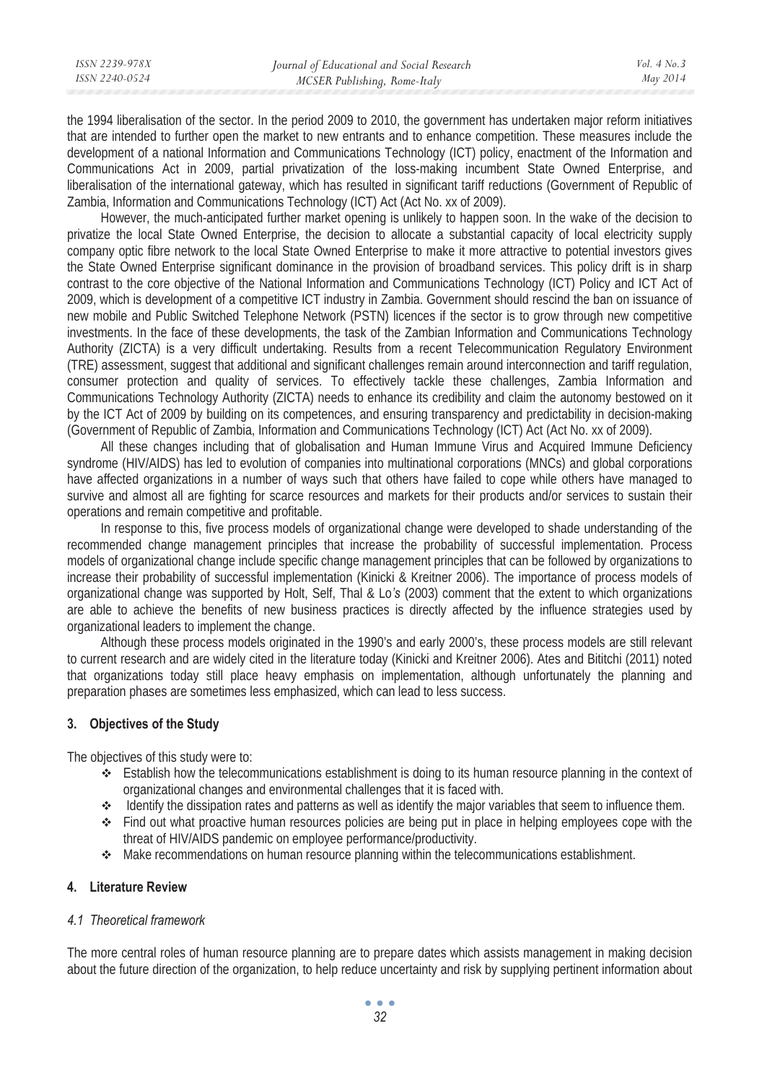| ISSN 2239-978X | Journal of Educational and Social Research | Vol. $4$ No. $3$ |
|----------------|--------------------------------------------|------------------|
| ISSN 2240-0524 | MCSER Publishing, Rome-Italy               | May 2014         |
|                |                                            |                  |

the 1994 liberalisation of the sector. In the period 2009 to 2010, the government has undertaken major reform initiatives that are intended to further open the market to new entrants and to enhance competition. These measures include the development of a national Information and Communications Technology (ICT) policy, enactment of the Information and Communications Act in 2009, partial privatization of the loss-making incumbent State Owned Enterprise, and liberalisation of the international gateway, which has resulted in significant tariff reductions (Government of Republic of Zambia, Information and Communications Technology (ICT) Act (Act No. xx of 2009).

However, the much-anticipated further market opening is unlikely to happen soon. In the wake of the decision to privatize the local State Owned Enterprise, the decision to allocate a substantial capacity of local electricity supply company optic fibre network to the local State Owned Enterprise to make it more attractive to potential investors gives the State Owned Enterprise significant dominance in the provision of broadband services. This policy drift is in sharp contrast to the core objective of the National Information and Communications Technology (ICT) Policy and ICT Act of 2009, which is development of a competitive ICT industry in Zambia. Government should rescind the ban on issuance of new mobile and Public Switched Telephone Network (PSTN) licences if the sector is to grow through new competitive investments. In the face of these developments, the task of the Zambian Information and Communications Technology Authority (ZICTA) is a very difficult undertaking. Results from a recent Telecommunication Regulatory Environment (TRE) assessment, suggest that additional and significant challenges remain around interconnection and tariff regulation, consumer protection and quality of services. To effectively tackle these challenges, Zambia Information and Communications Technology Authority (ZICTA) needs to enhance its credibility and claim the autonomy bestowed on it by the ICT Act of 2009 by building on its competences, and ensuring transparency and predictability in decision-making (Government of Republic of Zambia, Information and Communications Technology (ICT) Act (Act No. xx of 2009).

All these changes including that of globalisation and Human Immune Virus and Acquired Immune Deficiency syndrome (HIV/AIDS) has led to evolution of companies into multinational corporations (MNCs) and global corporations have affected organizations in a number of ways such that others have failed to cope while others have managed to survive and almost all are fighting for scarce resources and markets for their products and/or services to sustain their operations and remain competitive and profitable.

In response to this, five process models of organizational change were developed to shade understanding of the recommended change management principles that increase the probability of successful implementation. Process models of organizational change include specific change management principles that can be followed by organizations to increase their probability of successful implementation (Kinicki & Kreitner 2006). The importance of process models of organizational change was supported by Holt, Self, Thal & Lo*'s* (2003) comment that the extent to which organizations are able to achieve the benefits of new business practices is directly affected by the influence strategies used by organizational leaders to implement the change.

Although these process models originated in the 1990's and early 2000's, these process models are still relevant to current research and are widely cited in the literature today (Kinicki and Kreitner 2006). Ates and Bititchi (2011) noted that organizations today still place heavy emphasis on implementation, although unfortunately the planning and preparation phases are sometimes less emphasized, which can lead to less success.

## **3. Objectives of the Study**

The objectives of this study were to:

- Establish how the telecommunications establishment is doing to its human resource planning in the context of organizational changes and environmental challenges that it is faced with.
- $\triangle$  Identify the dissipation rates and patterns as well as identify the major variables that seem to influence them.
- $\div$  Find out what proactive human resources policies are being put in place in helping employees cope with the threat of HIV/AIDS pandemic on employee performance/productivity.
- Make recommendations on human resource planning within the telecommunications establishment.

## **4. Literature Review**

## *4.1 Theoretical framework*

The more central roles of human resource planning are to prepare dates which assists management in making decision about the future direction of the organization, to help reduce uncertainty and risk by supplying pertinent information about

> $\bullet$   $\bullet$   $\bullet$ *32*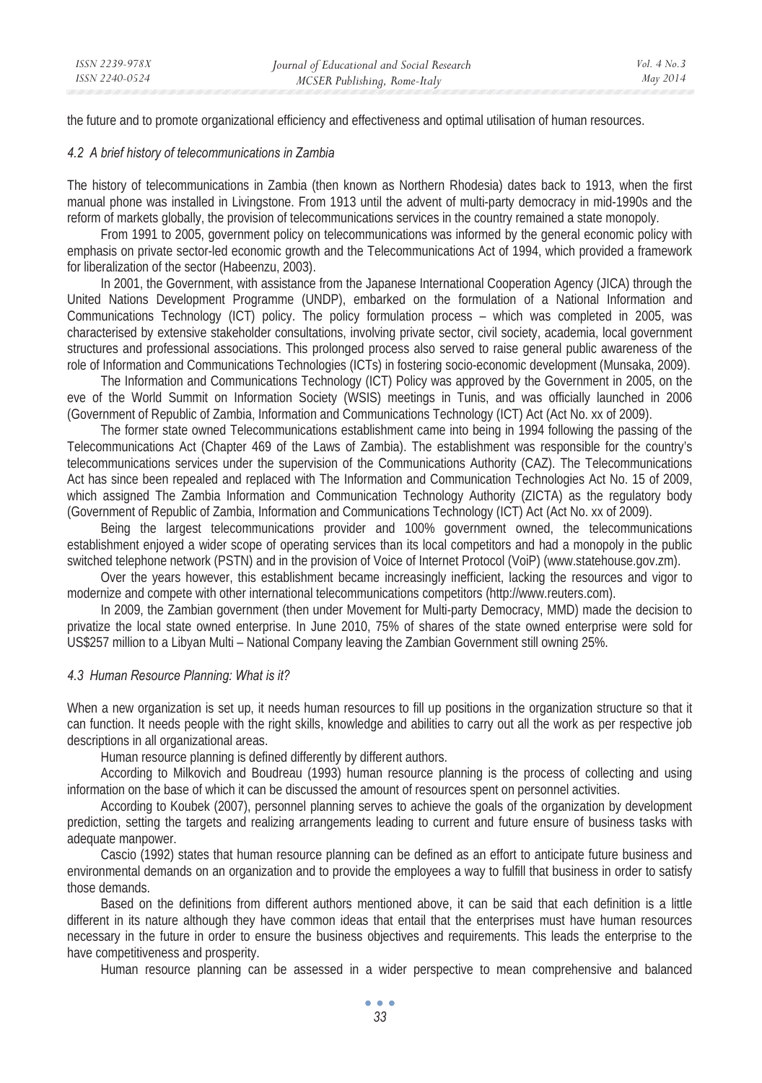the future and to promote organizational efficiency and effectiveness and optimal utilisation of human resources.

#### *4.2 A brief history of telecommunications in Zambia*

The history of telecommunications in Zambia (then known as Northern Rhodesia) dates back to 1913, when the first manual phone was installed in Livingstone. From 1913 until the advent of multi-party democracy in mid-1990s and the reform of markets globally, the provision of telecommunications services in the country remained a state monopoly.

From 1991 to 2005, government policy on telecommunications was informed by the general economic policy with emphasis on private sector-led economic growth and the Telecommunications Act of 1994, which provided a framework for liberalization of the sector (Habeenzu, 2003).

In 2001, the Government, with assistance from the Japanese International Cooperation Agency (JICA) through the United Nations Development Programme (UNDP), embarked on the formulation of a National Information and Communications Technology (ICT) policy. The policy formulation process – which was completed in 2005, was characterised by extensive stakeholder consultations, involving private sector, civil society, academia, local government structures and professional associations. This prolonged process also served to raise general public awareness of the role of Information and Communications Technologies (ICTs) in fostering socio-economic development (Munsaka, 2009).

The Information and Communications Technology (ICT) Policy was approved by the Government in 2005, on the eve of the World Summit on Information Society (WSIS) meetings in Tunis, and was officially launched in 2006 (Government of Republic of Zambia, Information and Communications Technology (ICT) Act (Act No. xx of 2009).

The former state owned Telecommunications establishment came into being in 1994 following the passing of the Telecommunications Act (Chapter 469 of the Laws of Zambia). The establishment was responsible for the country's telecommunications services under the supervision of the Communications Authority (CAZ). The Telecommunications Act has since been repealed and replaced with The Information and Communication Technologies Act No. 15 of 2009, which assigned The Zambia Information and Communication Technology Authority (ZICTA) as the regulatory body (Government of Republic of Zambia, Information and Communications Technology (ICT) Act (Act No. xx of 2009).

Being the largest telecommunications provider and 100% government owned, the telecommunications establishment enjoyed a wider scope of operating services than its local competitors and had a monopoly in the public switched telephone network (PSTN) and in the provision of Voice of Internet Protocol (VoiP) (www.statehouse.gov.zm).

Over the years however, this establishment became increasingly inefficient, lacking the resources and vigor to modernize and compete with other international telecommunications competitors (http://www.reuters.com).

In 2009, the Zambian government (then under Movement for Multi-party Democracy, MMD) made the decision to privatize the local state owned enterprise. In June 2010, 75% of shares of the state owned enterprise were sold for US\$257 million to a Libyan Multi – National Company leaving the Zambian Government still owning 25%.

#### *4.3 Human Resource Planning: What is it?*

When a new organization is set up, it needs human resources to fill up positions in the organization structure so that it can function. It needs people with the right skills, knowledge and abilities to carry out all the work as per respective job descriptions in all organizational areas.

Human resource planning is defined differently by different authors.

According to Milkovich and Boudreau (1993) human resource planning is the process of collecting and using information on the base of which it can be discussed the amount of resources spent on personnel activities.

According to Koubek (2007), personnel planning serves to achieve the goals of the organization by development prediction, setting the targets and realizing arrangements leading to current and future ensure of business tasks with adequate manpower.

Cascio (1992) states that human resource planning can be defined as an effort to anticipate future business and environmental demands on an organization and to provide the employees a way to fulfill that business in order to satisfy those demands.

Based on the definitions from different authors mentioned above, it can be said that each definition is a little different in its nature although they have common ideas that entail that the enterprises must have human resources necessary in the future in order to ensure the business objectives and requirements. This leads the enterprise to the have competitiveness and prosperity.

Human resource planning can be assessed in a wider perspective to mean comprehensive and balanced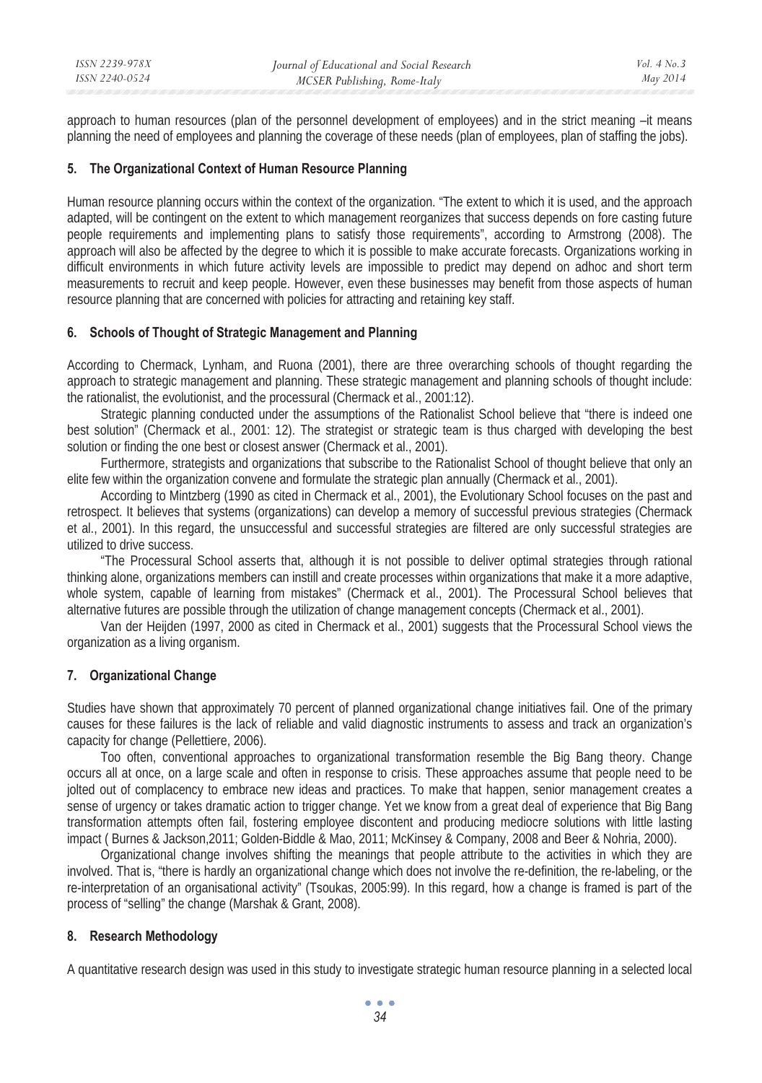approach to human resources (plan of the personnel development of employees) and in the strict meaning –it means planning the need of employees and planning the coverage of these needs (plan of employees, plan of staffing the jobs).

## **5. The Organizational Context of Human Resource Planning**

Human resource planning occurs within the context of the organization. "The extent to which it is used, and the approach adapted, will be contingent on the extent to which management reorganizes that success depends on fore casting future people requirements and implementing plans to satisfy those requirements", according to Armstrong (2008). The approach will also be affected by the degree to which it is possible to make accurate forecasts. Organizations working in difficult environments in which future activity levels are impossible to predict may depend on adhoc and short term measurements to recruit and keep people. However, even these businesses may benefit from those aspects of human resource planning that are concerned with policies for attracting and retaining key staff.

## **6. Schools of Thought of Strategic Management and Planning**

According to Chermack, Lynham, and Ruona (2001), there are three overarching schools of thought regarding the approach to strategic management and planning. These strategic management and planning schools of thought include: the rationalist, the evolutionist, and the processural (Chermack et al., 2001:12).

Strategic planning conducted under the assumptions of the Rationalist School believe that "there is indeed one best solution" (Chermack et al., 2001: 12). The strategist or strategic team is thus charged with developing the best solution or finding the one best or closest answer (Chermack et al., 2001).

Furthermore, strategists and organizations that subscribe to the Rationalist School of thought believe that only an elite few within the organization convene and formulate the strategic plan annually (Chermack et al., 2001).

According to Mintzberg (1990 as cited in Chermack et al., 2001), the Evolutionary School focuses on the past and retrospect. It believes that systems (organizations) can develop a memory of successful previous strategies (Chermack et al., 2001). In this regard, the unsuccessful and successful strategies are filtered are only successful strategies are utilized to drive success.

"The Processural School asserts that, although it is not possible to deliver optimal strategies through rational thinking alone, organizations members can instill and create processes within organizations that make it a more adaptive, whole system, capable of learning from mistakes" (Chermack et al., 2001). The Processural School believes that alternative futures are possible through the utilization of change management concepts (Chermack et al., 2001).

Van der Heijden (1997, 2000 as cited in Chermack et al., 2001) suggests that the Processural School views the organization as a living organism.

## **7. Organizational Change**

Studies have shown that approximately 70 percent of planned organizational change initiatives fail. One of the primary causes for these failures is the lack of reliable and valid diagnostic instruments to assess and track an organization's capacity for change (Pellettiere, 2006).

Too often, conventional approaches to organizational transformation resemble the Big Bang theory. Change occurs all at once, on a large scale and often in response to crisis. These approaches assume that people need to be jolted out of complacency to embrace new ideas and practices. To make that happen, senior management creates a sense of urgency or takes dramatic action to trigger change. Yet we know from a great deal of experience that Big Bang transformation attempts often fail, fostering employee discontent and producing mediocre solutions with little lasting impact ( Burnes & Jackson,2011; Golden-Biddle & Mao, 2011; McKinsey & Company, 2008 and Beer & Nohria, 2000).

Organizational change involves shifting the meanings that people attribute to the activities in which they are involved. That is, "there is hardly an organizational change which does not involve the re-definition, the re-labeling, or the re-interpretation of an organisational activity" (Tsoukas, 2005:99). In this regard, how a change is framed is part of the process of "selling" the change (Marshak & Grant, 2008).

# **8. Research Methodology**

A quantitative research design was used in this study to investigate strategic human resource planning in a selected local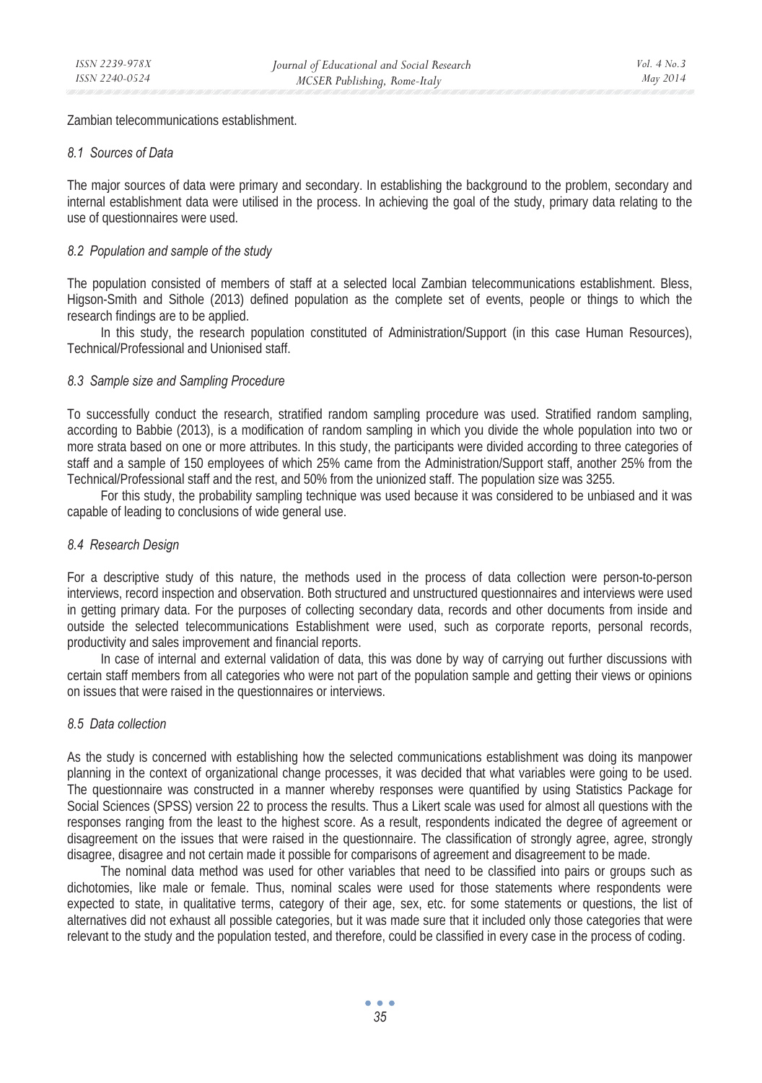Zambian telecommunications establishment.

#### *8.1 Sources of Data*

The major sources of data were primary and secondary. In establishing the background to the problem, secondary and internal establishment data were utilised in the process. In achieving the goal of the study, primary data relating to the use of questionnaires were used.

#### *8.2 Population and sample of the study*

The population consisted of members of staff at a selected local Zambian telecommunications establishment. Bless, Higson-Smith and Sithole (2013) defined population as the complete set of events, people or things to which the research findings are to be applied.

In this study, the research population constituted of Administration/Support (in this case Human Resources), Technical/Professional and Unionised staff.

#### *8.3 Sample size and Sampling Procedure*

To successfully conduct the research, stratified random sampling procedure was used. Stratified random sampling, according to Babbie (2013), is a modification of random sampling in which you divide the whole population into two or more strata based on one or more attributes. In this study, the participants were divided according to three categories of staff and a sample of 150 employees of which 25% came from the Administration/Support staff, another 25% from the Technical/Professional staff and the rest, and 50% from the unionized staff. The population size was 3255.

For this study, the probability sampling technique was used because it was considered to be unbiased and it was capable of leading to conclusions of wide general use.

#### *8.4 Research Design*

For a descriptive study of this nature, the methods used in the process of data collection were person-to-person interviews, record inspection and observation. Both structured and unstructured questionnaires and interviews were used in getting primary data. For the purposes of collecting secondary data, records and other documents from inside and outside the selected telecommunications Establishment were used, such as corporate reports, personal records, productivity and sales improvement and financial reports.

In case of internal and external validation of data, this was done by way of carrying out further discussions with certain staff members from all categories who were not part of the population sample and getting their views or opinions on issues that were raised in the questionnaires or interviews.

## *8.5 Data collection*

As the study is concerned with establishing how the selected communications establishment was doing its manpower planning in the context of organizational change processes, it was decided that what variables were going to be used. The questionnaire was constructed in a manner whereby responses were quantified by using Statistics Package for Social Sciences (SPSS) version 22 to process the results. Thus a Likert scale was used for almost all questions with the responses ranging from the least to the highest score. As a result, respondents indicated the degree of agreement or disagreement on the issues that were raised in the questionnaire. The classification of strongly agree, agree, strongly disagree, disagree and not certain made it possible for comparisons of agreement and disagreement to be made.

The nominal data method was used for other variables that need to be classified into pairs or groups such as dichotomies, like male or female. Thus, nominal scales were used for those statements where respondents were expected to state, in qualitative terms, category of their age, sex, etc. for some statements or questions, the list of alternatives did not exhaust all possible categories, but it was made sure that it included only those categories that were relevant to the study and the population tested, and therefore, could be classified in every case in the process of coding.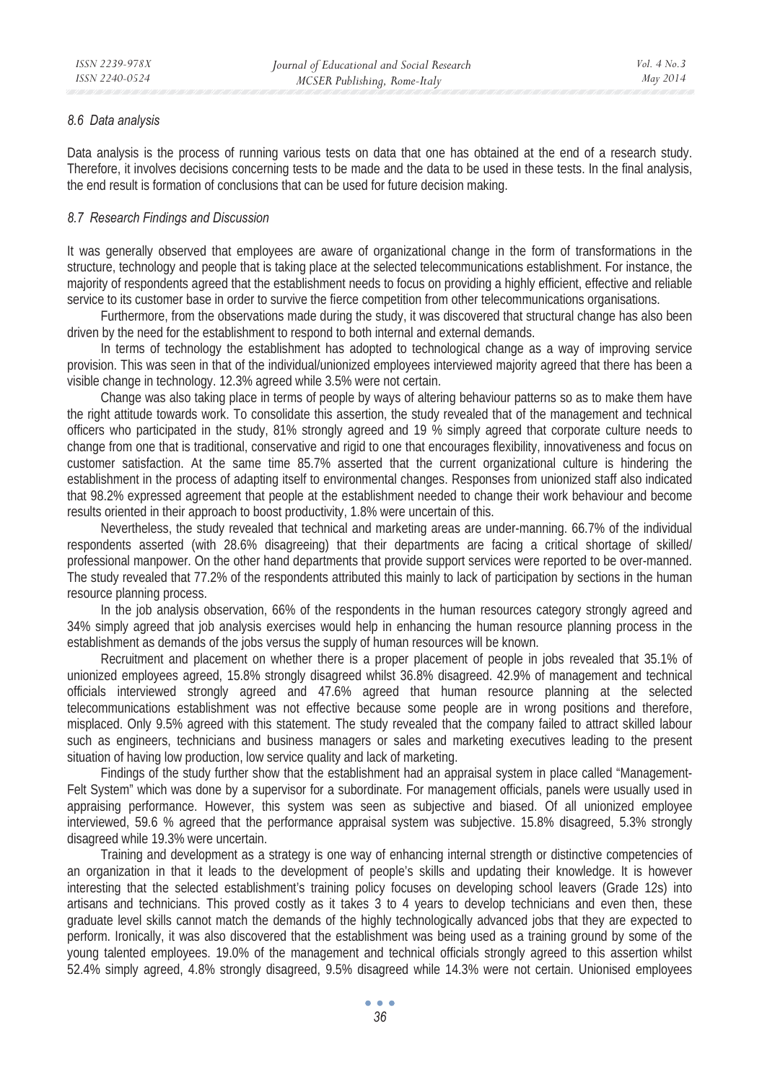#### *8.6 Data analysis*

Data analysis is the process of running various tests on data that one has obtained at the end of a research study. Therefore, it involves decisions concerning tests to be made and the data to be used in these tests. In the final analysis, the end result is formation of conclusions that can be used for future decision making.

## *8.7 Research Findings and Discussion*

It was generally observed that employees are aware of organizational change in the form of transformations in the structure, technology and people that is taking place at the selected telecommunications establishment. For instance, the majority of respondents agreed that the establishment needs to focus on providing a highly efficient, effective and reliable service to its customer base in order to survive the fierce competition from other telecommunications organisations.

Furthermore, from the observations made during the study, it was discovered that structural change has also been driven by the need for the establishment to respond to both internal and external demands.

In terms of technology the establishment has adopted to technological change as a way of improving service provision. This was seen in that of the individual/unionized employees interviewed majority agreed that there has been a visible change in technology. 12.3% agreed while 3.5% were not certain.

Change was also taking place in terms of people by ways of altering behaviour patterns so as to make them have the right attitude towards work. To consolidate this assertion, the study revealed that of the management and technical officers who participated in the study, 81% strongly agreed and 19 % simply agreed that corporate culture needs to change from one that is traditional, conservative and rigid to one that encourages flexibility, innovativeness and focus on customer satisfaction. At the same time 85.7% asserted that the current organizational culture is hindering the establishment in the process of adapting itself to environmental changes. Responses from unionized staff also indicated that 98.2% expressed agreement that people at the establishment needed to change their work behaviour and become results oriented in their approach to boost productivity, 1.8% were uncertain of this.

Nevertheless, the study revealed that technical and marketing areas are under-manning. 66.7% of the individual respondents asserted (with 28.6% disagreeing) that their departments are facing a critical shortage of skilled/ professional manpower. On the other hand departments that provide support services were reported to be over-manned. The study revealed that 77.2% of the respondents attributed this mainly to lack of participation by sections in the human resource planning process.

In the job analysis observation, 66% of the respondents in the human resources category strongly agreed and 34% simply agreed that job analysis exercises would help in enhancing the human resource planning process in the establishment as demands of the jobs versus the supply of human resources will be known.

Recruitment and placement on whether there is a proper placement of people in jobs revealed that 35.1% of unionized employees agreed, 15.8% strongly disagreed whilst 36.8% disagreed. 42.9% of management and technical officials interviewed strongly agreed and 47.6% agreed that human resource planning at the selected telecommunications establishment was not effective because some people are in wrong positions and therefore, misplaced. Only 9.5% agreed with this statement. The study revealed that the company failed to attract skilled labour such as engineers, technicians and business managers or sales and marketing executives leading to the present situation of having low production, low service quality and lack of marketing.

Findings of the study further show that the establishment had an appraisal system in place called "Management-Felt System" which was done by a supervisor for a subordinate. For management officials, panels were usually used in appraising performance. However, this system was seen as subjective and biased. Of all unionized employee interviewed, 59.6 % agreed that the performance appraisal system was subjective. 15.8% disagreed, 5.3% strongly disagreed while 19.3% were uncertain.

Training and development as a strategy is one way of enhancing internal strength or distinctive competencies of an organization in that it leads to the development of people's skills and updating their knowledge. It is however interesting that the selected establishment's training policy focuses on developing school leavers (Grade 12s) into artisans and technicians. This proved costly as it takes 3 to 4 years to develop technicians and even then, these graduate level skills cannot match the demands of the highly technologically advanced jobs that they are expected to perform. Ironically, it was also discovered that the establishment was being used as a training ground by some of the young talented employees. 19.0% of the management and technical officials strongly agreed to this assertion whilst 52.4% simply agreed, 4.8% strongly disagreed, 9.5% disagreed while 14.3% were not certain. Unionised employees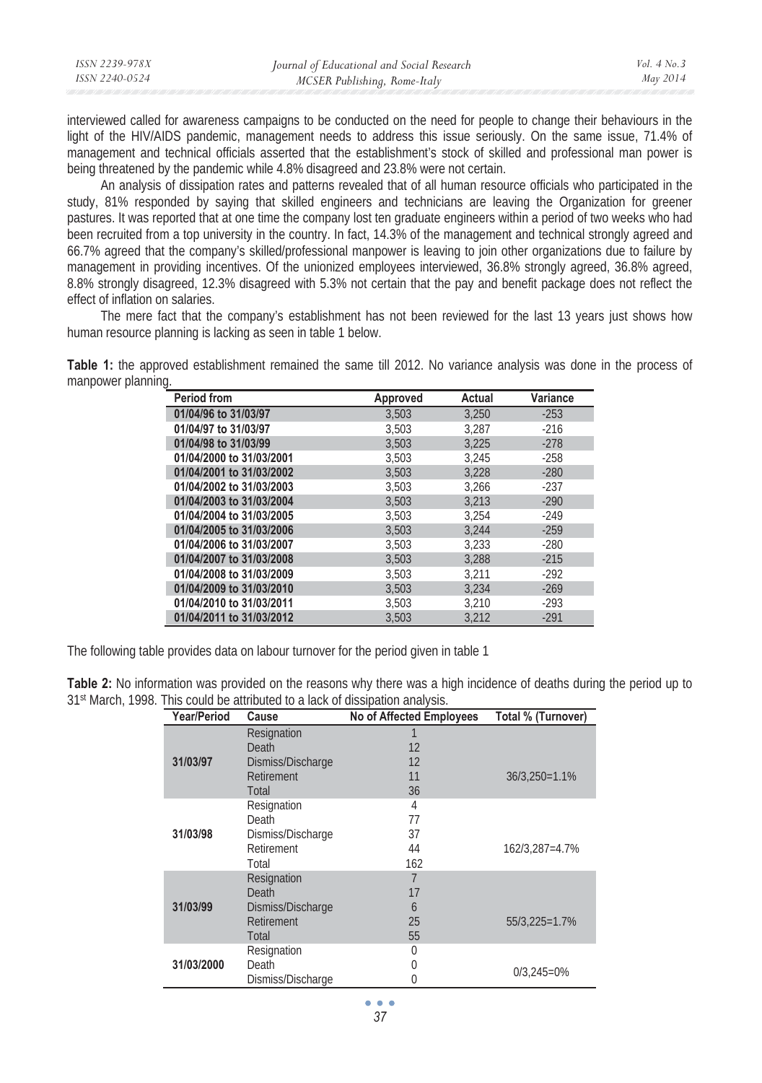| ISSN 2239-978X | Journal of Educational and Social Research | $Vol_4$ No. 3 |
|----------------|--------------------------------------------|---------------|
| ISSN 2240-0524 | MCSER Publishing, Rome-Italy               | May 2014      |
|                |                                            |               |

interviewed called for awareness campaigns to be conducted on the need for people to change their behaviours in the light of the HIV/AIDS pandemic, management needs to address this issue seriously. On the same issue, 71.4% of management and technical officials asserted that the establishment's stock of skilled and professional man power is being threatened by the pandemic while 4.8% disagreed and 23.8% were not certain.

An analysis of dissipation rates and patterns revealed that of all human resource officials who participated in the study, 81% responded by saying that skilled engineers and technicians are leaving the Organization for greener pastures. It was reported that at one time the company lost ten graduate engineers within a period of two weeks who had been recruited from a top university in the country. In fact, 14.3% of the management and technical strongly agreed and 66.7% agreed that the company's skilled/professional manpower is leaving to join other organizations due to failure by management in providing incentives. Of the unionized employees interviewed, 36.8% strongly agreed, 36.8% agreed, 8.8% strongly disagreed, 12.3% disagreed with 5.3% not certain that the pay and benefit package does not reflect the effect of inflation on salaries.

The mere fact that the company's establishment has not been reviewed for the last 13 years just shows how human resource planning is lacking as seen in table 1 below.

**Table 1:** the approved establishment remained the same till 2012. No variance analysis was done in the process of manpower planning.

| <b>Period from</b>       | Approved | Actual | Variance |
|--------------------------|----------|--------|----------|
| 01/04/96 to 31/03/97     | 3.503    | 3,250  | $-253$   |
| 01/04/97 to 31/03/97     | 3,503    | 3.287  | $-216$   |
| 01/04/98 to 31/03/99     | 3.503    | 3.225  | $-278$   |
| 01/04/2000 to 31/03/2001 | 3.503    | 3.245  | $-258$   |
| 01/04/2001 to 31/03/2002 | 3.503    | 3.228  | $-280$   |
| 01/04/2002 to 31/03/2003 | 3.503    | 3.266  | $-237$   |
| 01/04/2003 to 31/03/2004 | 3.503    | 3.213  | $-290$   |
| 01/04/2004 to 31/03/2005 | 3.503    | 3.254  | $-249$   |
| 01/04/2005 to 31/03/2006 | 3.503    | 3.244  | $-259$   |
| 01/04/2006 to 31/03/2007 | 3,503    | 3.233  | $-280$   |
| 01/04/2007 to 31/03/2008 | 3.503    | 3.288  | $-215$   |
| 01/04/2008 to 31/03/2009 | 3,503    | 3,211  | $-292$   |
| 01/04/2009 to 31/03/2010 | 3.503    | 3.234  | $-269$   |
| 01/04/2010 to 31/03/2011 | 3,503    | 3.210  | $-293$   |
| 01/04/2011 to 31/03/2012 | 3,503    | 3,212  | $-291$   |

The following table provides data on labour turnover for the period given in table 1

**Table 2:** No information was provided on the reasons why there was a high incidence of deaths during the period up to 31st March, 1998. This could be attributed to a lack of dissipation analysis.

| Year/Period | Cause             | No of Affected Employees | Total % (Turnover) |
|-------------|-------------------|--------------------------|--------------------|
|             | Resignation       |                          |                    |
|             | Death             | 12                       |                    |
| 31/03/97    | Dismiss/Discharge | 12                       |                    |
|             | Retirement        | 11                       | $36/3,250=1.1%$    |
|             | Total             | 36                       |                    |
|             | Resignation       | 4                        |                    |
|             | Death             | 77                       |                    |
| 31/03/98    | Dismiss/Discharge | 37                       |                    |
|             | Retirement        | 44                       | 162/3,287=4.7%     |
|             | Total             | 162                      |                    |
|             | Resignation       | 7                        |                    |
|             | Death             | 17                       |                    |
| 31/03/99    | Dismiss/Discharge | 6                        |                    |
|             | Retirement        | 25                       | 55/3,225=1.7%      |
|             | Total             | 55                       |                    |
|             | Resignation       | 0                        |                    |
| 31/03/2000  | Death             | 0                        | $0/3,245=0%$       |
|             | Dismiss/Discharge | 0                        |                    |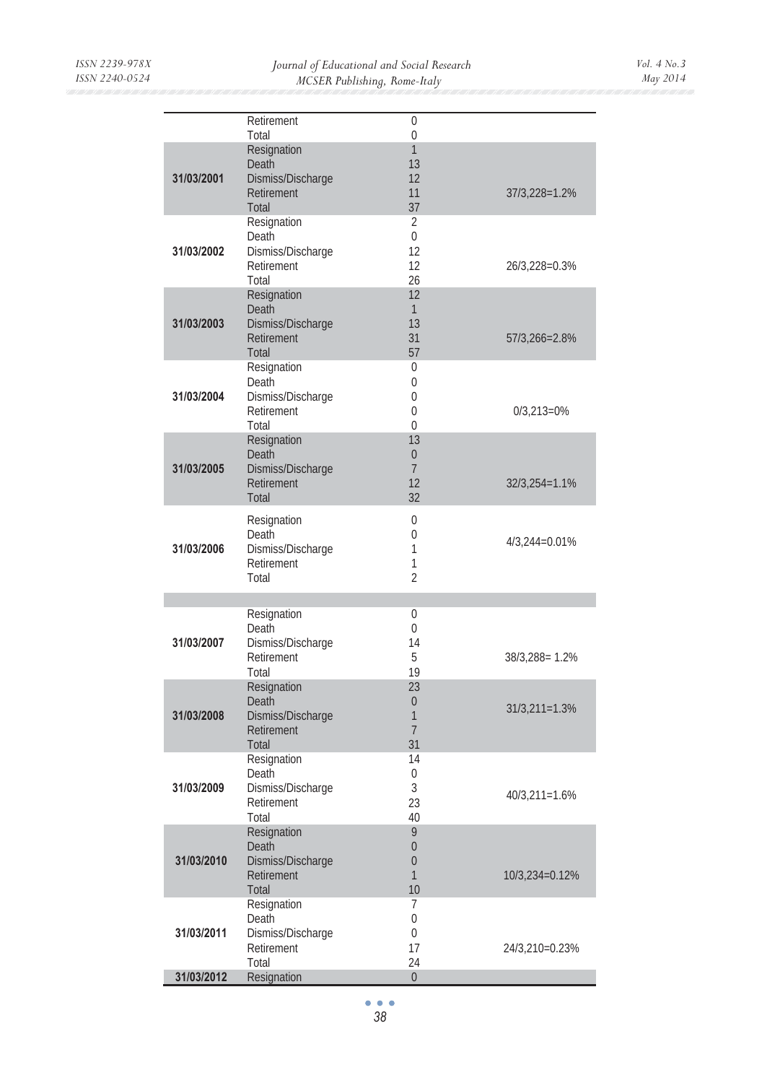|            | Retirement<br>Total                                              | 0<br>$\mathbf 0$                                 |                 |
|------------|------------------------------------------------------------------|--------------------------------------------------|-----------------|
| 31/03/2001 | Resignation<br>Death<br>Dismiss/Discharge<br>Retirement<br>Total | 1<br>13<br>12<br>11<br>37                        | 37/3,228=1.2%   |
| 31/03/2002 | Resignation<br>Death<br>Dismiss/Discharge<br>Retirement<br>Total | 2<br>0<br>12<br>12<br>26                         | 26/3,228=0.3%   |
| 31/03/2003 | Resignation<br>Death<br>Dismiss/Discharge<br>Retirement<br>Total | 12<br>$\mathbf{1}$<br>13<br>31<br>57             | 57/3,266=2.8%   |
| 31/03/2004 | Resignation<br>Death<br>Dismiss/Discharge<br>Retirement<br>Total | 0<br>0<br>0<br>0<br>$\Omega$                     | $0/3,213=0%$    |
| 31/03/2005 | Resignation<br>Death<br>Dismiss/Discharge<br>Retirement<br>Total | 13<br>$\mathbf{0}$<br>$\overline{7}$<br>12<br>32 | $32/3,254=1.1%$ |
| 31/03/2006 | Resignation<br>Death<br>Dismiss/Discharge<br>Retirement<br>Total | 0<br>0<br>1<br>1<br>$\overline{2}$               | 4/3,244=0.01%   |
|            |                                                                  |                                                  |                 |
| 31/03/2007 | Resignation<br>Death<br>Dismiss/Discharge<br>Retirement<br>Total | 0<br>0<br>14<br>5<br>19                          | 38/3,288=1.2%   |
| 31/03/2008 | Resignation<br>Death<br>Dismiss/Discharge<br>Retirement<br>Total | 23<br>$\mathbf{0}$<br>1<br>$\overline{7}$<br>31  | $31/3,211=1.3%$ |
| 31/03/2009 | Resignation<br>Death<br>Dismiss/Discharge<br>Retirement<br>Total | 14<br>$\mathbf 0$<br>3<br>23<br>40               | 40/3,211=1.6%   |
| 31/03/2010 | Resignation<br>Death<br>Dismiss/Discharge<br>Retirement<br>Total | 9<br>$\mathbf{0}$<br>$\overline{0}$<br>1<br>10   | 10/3,234=0.12%  |
| 31/03/2011 | Resignation<br>Death<br>Dismiss/Discharge<br>Retirement<br>Total | 7<br>$\mathbf 0$<br>0<br>17<br>24                | 24/3,210=0.23%  |
| 31/03/2012 | Resignation                                                      | $\overline{0}$                                   |                 |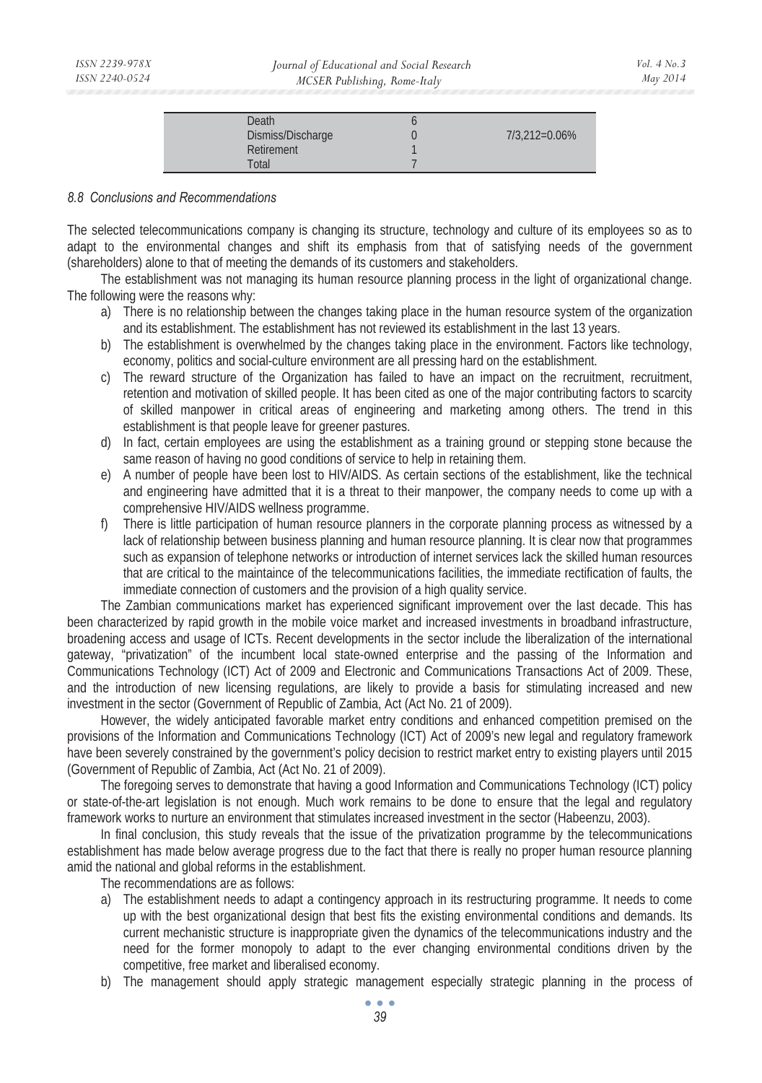| Death             |               |
|-------------------|---------------|
| Dismiss/Discharge | 7/3,212=0.06% |
| Retirement        |               |
| Total             |               |

#### *8.8 Conclusions and Recommendations*

The selected telecommunications company is changing its structure, technology and culture of its employees so as to adapt to the environmental changes and shift its emphasis from that of satisfying needs of the government (shareholders) alone to that of meeting the demands of its customers and stakeholders.

The establishment was not managing its human resource planning process in the light of organizational change. The following were the reasons why:

- a) There is no relationship between the changes taking place in the human resource system of the organization and its establishment. The establishment has not reviewed its establishment in the last 13 years.
- b) The establishment is overwhelmed by the changes taking place in the environment. Factors like technology, economy, politics and social-culture environment are all pressing hard on the establishment.
- c) The reward structure of the Organization has failed to have an impact on the recruitment, recruitment, retention and motivation of skilled people. It has been cited as one of the major contributing factors to scarcity of skilled manpower in critical areas of engineering and marketing among others. The trend in this establishment is that people leave for greener pastures.
- d) In fact, certain employees are using the establishment as a training ground or stepping stone because the same reason of having no good conditions of service to help in retaining them.
- e) A number of people have been lost to HIV/AIDS. As certain sections of the establishment, like the technical and engineering have admitted that it is a threat to their manpower, the company needs to come up with a comprehensive HIV/AIDS wellness programme.
- f) There is little participation of human resource planners in the corporate planning process as witnessed by a lack of relationship between business planning and human resource planning. It is clear now that programmes such as expansion of telephone networks or introduction of internet services lack the skilled human resources that are critical to the maintaince of the telecommunications facilities, the immediate rectification of faults, the immediate connection of customers and the provision of a high quality service.

The Zambian communications market has experienced significant improvement over the last decade. This has been characterized by rapid growth in the mobile voice market and increased investments in broadband infrastructure, broadening access and usage of ICTs. Recent developments in the sector include the liberalization of the international gateway, "privatization" of the incumbent local state-owned enterprise and the passing of the Information and Communications Technology (ICT) Act of 2009 and Electronic and Communications Transactions Act of 2009. These, and the introduction of new licensing regulations, are likely to provide a basis for stimulating increased and new investment in the sector (Government of Republic of Zambia, Act (Act No. 21 of 2009).

However, the widely anticipated favorable market entry conditions and enhanced competition premised on the provisions of the Information and Communications Technology (ICT) Act of 2009's new legal and regulatory framework have been severely constrained by the government's policy decision to restrict market entry to existing players until 2015 (Government of Republic of Zambia, Act (Act No. 21 of 2009).

The foregoing serves to demonstrate that having a good Information and Communications Technology (ICT) policy or state-of-the-art legislation is not enough. Much work remains to be done to ensure that the legal and regulatory framework works to nurture an environment that stimulates increased investment in the sector (Habeenzu, 2003).

In final conclusion, this study reveals that the issue of the privatization programme by the telecommunications establishment has made below average progress due to the fact that there is really no proper human resource planning amid the national and global reforms in the establishment.

The recommendations are as follows:

- a) The establishment needs to adapt a contingency approach in its restructuring programme. It needs to come up with the best organizational design that best fits the existing environmental conditions and demands. Its current mechanistic structure is inappropriate given the dynamics of the telecommunications industry and the need for the former monopoly to adapt to the ever changing environmental conditions driven by the competitive, free market and liberalised economy.
- b) The management should apply strategic management especially strategic planning in the process of